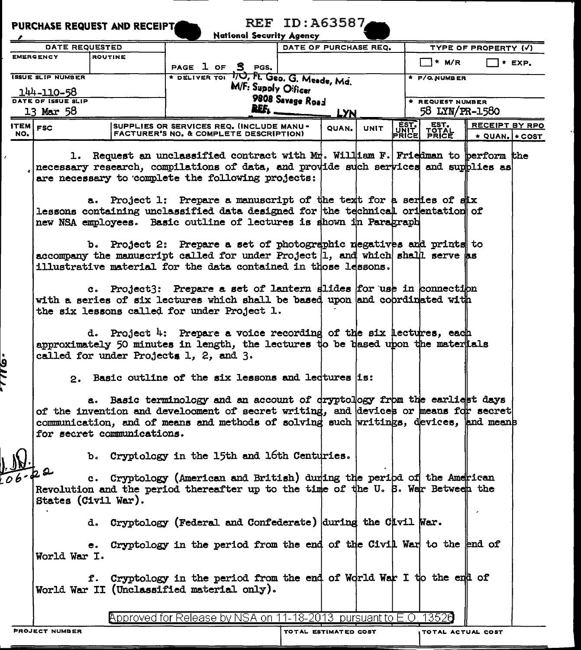|            | <b>PURCHASE REQUEST AND RECEIPTA</b> |                | National Security Agency                                                                                                                                                                                                                                                                                                                                                                                                                                                                                                                                                                                                 | <b>REF ID: A63587</b> |                      |                       |               |                           |                            |          |  |  |
|------------|--------------------------------------|----------------|--------------------------------------------------------------------------------------------------------------------------------------------------------------------------------------------------------------------------------------------------------------------------------------------------------------------------------------------------------------------------------------------------------------------------------------------------------------------------------------------------------------------------------------------------------------------------------------------------------------------------|-----------------------|----------------------|-----------------------|---------------|---------------------------|----------------------------|----------|--|--|
|            | DATE REQUESTED                       |                |                                                                                                                                                                                                                                                                                                                                                                                                                                                                                                                                                                                                                          |                       |                      | DATE OF PURCHASE REQ. |               |                           | TYPE OF PROPERTY (V)       |          |  |  |
|            | <b>EMERGENCY</b>                     | <b>ROUTINE</b> |                                                                                                                                                                                                                                                                                                                                                                                                                                                                                                                                                                                                                          |                       |                      |                       |               |                           |                            |          |  |  |
|            |                                      |                | PAGE 1 OF 5 PGS.                                                                                                                                                                                                                                                                                                                                                                                                                                                                                                                                                                                                         |                       |                      |                       |               | <sup>1</sup> * M/R        |                            | $*$ EXP. |  |  |
|            | <b>ISSUE SLIP NUMBER</b>             |                | * DELIVER TOI 10, Ft. Geo. G. Meade, Md.                                                                                                                                                                                                                                                                                                                                                                                                                                                                                                                                                                                 |                       |                      |                       |               | * P/O.NUMBER              |                            |          |  |  |
|            | 144-110-58                           |                |                                                                                                                                                                                                                                                                                                                                                                                                                                                                                                                                                                                                                          | M/F: Supply Oificer   |                      |                       |               |                           |                            |          |  |  |
|            | DATE OF ISSUE SLIP                   |                | 9808 Savage Road                                                                                                                                                                                                                                                                                                                                                                                                                                                                                                                                                                                                         |                       | * REQUEST NUMBER     |                       |               |                           |                            |          |  |  |
|            | 13 Mar 58                            |                | REF.<br><b>LYN</b>                                                                                                                                                                                                                                                                                                                                                                                                                                                                                                                                                                                                       |                       |                      |                       |               | 58 LYN/PR-1580            |                            |          |  |  |
| ITEM $FSC$ |                                      |                | SUPPLIES OR SERVICES REQ. (INCLUDE MANU -                                                                                                                                                                                                                                                                                                                                                                                                                                                                                                                                                                                |                       | QUAN.                | <b>UNIT</b>           |               |                           | RECEIPT BY RPO             |          |  |  |
| NO.        |                                      |                | <b>FACTURER'S NO. &amp; COMPLETE DESCRIPTION)</b>                                                                                                                                                                                                                                                                                                                                                                                                                                                                                                                                                                        |                       |                      |                       | EST.<br>PRICE | EST.<br>TOTAL<br>PRICE    | $\star$ QUAN. $\star$ COST |          |  |  |
|            | ı.                                   |                | Request an unclassified contract with $M_T^*$ . William F. Friedman to berform the<br>necessary research, compilations of data, and provide such services and supplies as<br>are necessary to complete the following projects:<br>a. Project 1: Prepare a manuscript of the text for a series of stx<br>lessons containing unclassified data designed for the technical orientation of<br>new NSA employees. Basic outline of lectures is shown in Paragraph<br>b. Project 2: Prepare a set of photographic regatives and prints to<br>accompany the manuscript called for under Project $ 1$ , and which shall serve as |                       |                      |                       |               |                           |                            |          |  |  |
|            |                                      |                | illustrative material for the data contained in those lessons.<br>c. Project3: Prepare a set of lantern slides for use in connection<br>with a series of six lectures which shall be based upon and coprdinated with<br>the six lessons called for under Project 1.<br>d. Project 4: Prepare a voice recording of the six lectures, each<br>approximately 50 minutes in length, the lectures to be based upon the materials<br>called for under Projects 1, 2, and 3.                                                                                                                                                    |                       |                      |                       |               |                           |                            |          |  |  |
| <u>१८</u>  | for secret communications.           |                | 2. Basic outline of the six lessons and ledtures is:<br>a. Basic terminology and an account of dryptology from the earliest days<br>of the invention and develooment of secret writing, and devices or means for secret<br>communication, and of means and methods of solving such writings, devices, and means                                                                                                                                                                                                                                                                                                          |                       |                      |                       |               |                           |                            |          |  |  |
|            | 22<br>States (Civil War).            |                | b. Cryptology in the 15th and 16th Centuries.<br>c. Cryptology (American and British) during the peribd of the American<br>Revolution and the period thereafter up to the time of the U.S. War Between the                                                                                                                                                                                                                                                                                                                                                                                                               |                       |                      |                       |               |                           |                            |          |  |  |
|            | World War I.                         |                | d. Cryptology (Federal and Confederate) during the Cavil War.<br>e. Cryptology in the period from the end of the Civil War to the end of<br>f. Cryptology in the period from the end of World War I to the end of                                                                                                                                                                                                                                                                                                                                                                                                        |                       |                      |                       |               |                           |                            |          |  |  |
|            |                                      |                | World War II (Unclassified material only).<br>Approved for Release by NSA on 11-18-2013 pursuant to E.O. 13520                                                                                                                                                                                                                                                                                                                                                                                                                                                                                                           |                       |                      |                       |               |                           |                            |          |  |  |
|            | <b>PROJECT NUMBER</b>                |                |                                                                                                                                                                                                                                                                                                                                                                                                                                                                                                                                                                                                                          |                       | TOTAL ESTIMATED COST |                       |               | <b>ITOTAL ACTUAL COST</b> |                            |          |  |  |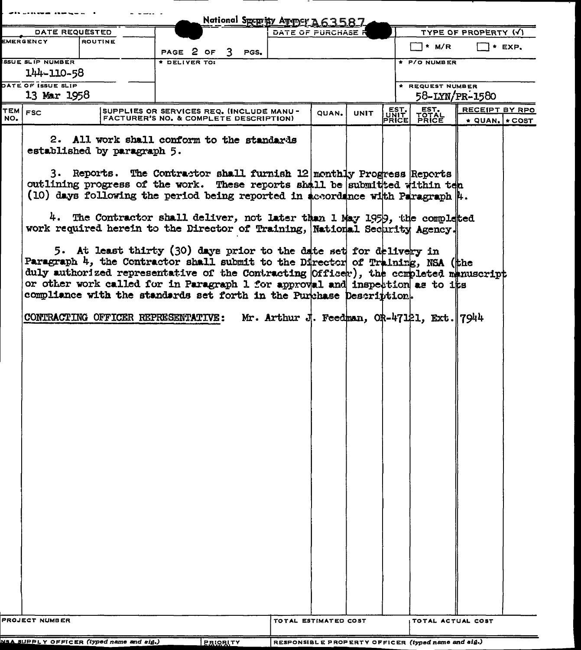|                                                      |                         |                             |                                                                                                                                                                                                                                                                                                                                                                                                                                                                                                                                                                                                                                                                                                                                                                                                                                                                                                                                               |  | National Speprity August A63587.                     |       |             |               |                                                             |                      |                            |
|------------------------------------------------------|-------------------------|-----------------------------|-----------------------------------------------------------------------------------------------------------------------------------------------------------------------------------------------------------------------------------------------------------------------------------------------------------------------------------------------------------------------------------------------------------------------------------------------------------------------------------------------------------------------------------------------------------------------------------------------------------------------------------------------------------------------------------------------------------------------------------------------------------------------------------------------------------------------------------------------------------------------------------------------------------------------------------------------|--|------------------------------------------------------|-------|-------------|---------------|-------------------------------------------------------------|----------------------|----------------------------|
| DATE REQUESTED<br>EMERGENCY                          |                         |                             |                                                                                                                                                                                                                                                                                                                                                                                                                                                                                                                                                                                                                                                                                                                                                                                                                                                                                                                                               |  | DATE OF PURCHASE I                                   |       |             |               |                                                             | TYPE OF PROPERTY (V) |                            |
|                                                      |                         | <b>ROUTINE</b>              | PAGE 2 OF 3 PGS.                                                                                                                                                                                                                                                                                                                                                                                                                                                                                                                                                                                                                                                                                                                                                                                                                                                                                                                              |  |                                                      |       |             |               | T* M/R                                                      |                      | $\Box$ * EXP.              |
|                                                      | <b>SSUE SLIP NUMBER</b> |                             | DELIVER TO:                                                                                                                                                                                                                                                                                                                                                                                                                                                                                                                                                                                                                                                                                                                                                                                                                                                                                                                                   |  |                                                      |       |             |               | + P/O NUMBER                                                |                      |                            |
|                                                      | 144-110-58              |                             |                                                                                                                                                                                                                                                                                                                                                                                                                                                                                                                                                                                                                                                                                                                                                                                                                                                                                                                                               |  |                                                      |       |             |               |                                                             |                      |                            |
|                                                      | DATE OF ISSUE SLIP      |                             |                                                                                                                                                                                                                                                                                                                                                                                                                                                                                                                                                                                                                                                                                                                                                                                                                                                                                                                                               |  |                                                      |       |             |               | * REQUEST NUMBER                                            |                      |                            |
|                                                      | 13 Mar 1958             |                             |                                                                                                                                                                                                                                                                                                                                                                                                                                                                                                                                                                                                                                                                                                                                                                                                                                                                                                                                               |  |                                                      |       |             |               |                                                             | 58-LYN/PR-1580       |                            |
| TEM FSC                                              |                         |                             | SUPPLIES OR SERVICES REQ. (INCLUDE MANU -                                                                                                                                                                                                                                                                                                                                                                                                                                                                                                                                                                                                                                                                                                                                                                                                                                                                                                     |  |                                                      | QUAN. | <b>UNIT</b> |               |                                                             | RECEIPT BY RPO       |                            |
| NO.                                                  |                         | established by paragraph 5. | FACTURER'S NO. & COMPLETE DESCRIPTION)<br>2. All work shall conform to the standards<br>3. Reports. The Contractor shall furnish 12 monthly Progress Reports<br>outlining progress of the work. These reports shall be submitted within ten<br>(10) days following the period being reported in accordance with Paragraph $\ $ .<br>4. The Contractor shall deliver, not later than 1 May 1959, the completed<br>work required herein to the Director of Training, National Security Agency.<br>5. At least thirty (30) days prior to the date set for delivery in<br>Paragraph 4, the Contractor shall submit to the Director of Training, NSA (the<br>duly authorized representative of the Contracting (Officer), the completed manuscript<br>or other work called for in Paragraph 1 for approval and inspection as to its<br>compliance with the standards set forth in the Purchase Description.<br>CONTRACTING OFFICER REPRESENTATIVE: |  |                                                      |       |             | EST.<br>PRICE | EST.<br>FRICE<br>Mr. Arthur J. Feedman, OR-47121, Ext. 7944 |                      | $\star$ QUAN. $\star$ COST |
|                                                      | PROJECT NUMBER          |                             |                                                                                                                                                                                                                                                                                                                                                                                                                                                                                                                                                                                                                                                                                                                                                                                                                                                                                                                                               |  | TOTAL ESTIMATED COST                                 |       |             |               | TOTAL ACTUAL COST                                           |                      |                            |
| NSA SUPPLY OFFICER (typed name and sig.)<br>PRIORLTY |                         |                             |                                                                                                                                                                                                                                                                                                                                                                                                                                                                                                                                                                                                                                                                                                                                                                                                                                                                                                                                               |  | $RESPONSIBLE PROPERTY OFFIGER (typed name and sig.)$ |       |             |               |                                                             |                      |                            |